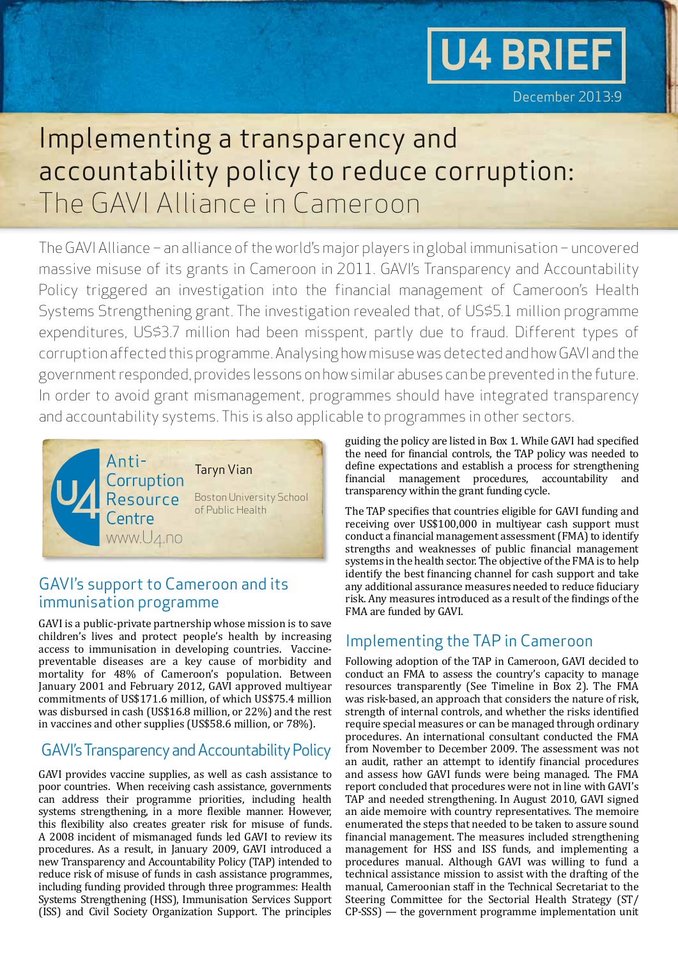

# Implementing a transparency and accountability policy to reduce corruption: The GAVI Alliance in Cameroon

The GAVI Alliance – an alliance of the world's major players in global immunisation – uncovered massive misuse of its grants in Cameroon in 2011. GAVI's Transparency and Accountability Policy triggered an investigation into the financial management of Cameroon's Health Systems Strengthening grant. The investigation revealed that, of US\$5.1 million programme expenditures, US\$3.7 million had been misspent, partly due to fraud. Different types of corruption affected this programme. Analysing how misuse was detected and how GAVI and the government responded, provides lessons on how similar abuses can be prevented in the future. In order to avoid grant mismanagement, programmes should have integrated transparency and accountability systems. This is also applicable to programmes in other sectors.



# GAVI's support to Cameroon and its immunisation programme

GAVI is a public-private partnership whose mission is to save children's lives and protect people's health by increasing access to immunisation in developing countries. Vaccinepreventable diseases are a key cause of morbidity and mortality for 48% of Cameroon's population. Between January 2001 and February 2012, GAVI approved multiyear commitments of US\$171.6 million, of which US\$75.4 million was disbursed in cash (US\$16.8 million, or 22%) and the rest in vaccines and other supplies (US\$58.6 million, or 78%).

# GAVI's Transparency and Accountability Policy

GAVI provides vaccine supplies, as well as cash assistance to poor countries. When receiving cash assistance, governments can address their programme priorities, including health systems strengthening, in a more flexible manner. However, this flexibility also creates greater risk for misuse of funds. A 2008 incident of mismanaged funds led GAVI to review its procedures. As a result, in January 2009, GAVI introduced a new Transparency and Accountability Policy (TAP) intended to reduce risk of misuse of funds in cash assistance programmes, including funding provided through three programmes: Health Systems Strengthening (HSS), Immunisation Services Support (ISS) and Civil Society Organization Support. The principles

guiding the policy are listed in Box 1. While GAVI had specified the need for financial controls, the TAP policy was needed to define expectations and establish a process for strengthening financial management procedures, accountability and transparency within the grant funding cycle.

The TAP specifies that countries eligible for GAVI funding and receiving over US\$100,000 in multiyear cash support must conduct a financial management assessment (FMA) to identify strengths and weaknesses of public financial management systems in the health sector. The objective of the FMA is to help identify the best financing channel for cash support and take any additional assurance measures needed to reduce fiduciary risk. Any measures introduced as a result of the findings of the FMA are funded by GAVI.

## Implementing the TAP in Cameroon

Following adoption of the TAP in Cameroon, GAVI decided to conduct an FMA to assess the country's capacity to manage resources transparently (See Timeline in Box 2). The FMA was risk-based, an approach that considers the nature of risk, strength of internal controls, and whether the risks identified require special measures or can be managed through ordinary procedures. An international consultant conducted the FMA from November to December 2009. The assessment was not an audit, rather an attempt to identify financial procedures and assess how GAVI funds were being managed. The FMA report concluded that procedures were not in line with GAVI's TAP and needed strengthening. In August 2010, GAVI signed an aide memoire with country representatives. The memoire enumerated the steps that needed to be taken to assure sound financial management. The measures included strengthening management for HSS and ISS funds, and implementing a procedures manual. Although GAVI was willing to fund a technical assistance mission to assist with the drafting of the manual, Cameroonian staff in the Technical Secretariat to the Steering Committee for the Sectorial Health Strategy (ST/ CP-SSS) — the government programme implementation unit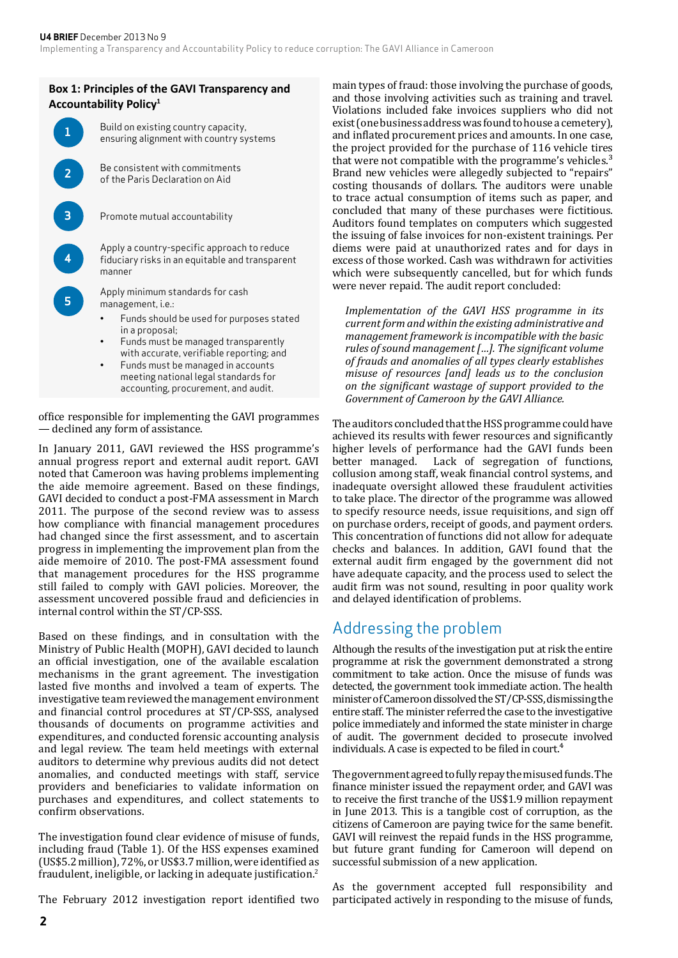

office responsible for implementing the GAVI programmes — declined any form of assistance.

In January 2011, GAVI reviewed the HSS programme's annual progress report and external audit report. GAVI noted that Cameroon was having problems implementing the aide memoire agreement. Based on these findings, GAVI decided to conduct a post-FMA assessment in March 2011. The purpose of the second review was to assess how compliance with financial management procedures had changed since the first assessment, and to ascertain progress in implementing the improvement plan from the aide memoire of 2010. The post-FMA assessment found that management procedures for the HSS programme still failed to comply with GAVI policies. Moreover, the assessment uncovered possible fraud and deficiencies in internal control within the ST/CP-SSS.

Based on these findings, and in consultation with the Ministry of Public Health (MOPH), GAVI decided to launch an official investigation, one of the available escalation mechanisms in the grant agreement. The investigation lasted five months and involved a team of experts. The investigative team reviewed the management environment and financial control procedures at ST/CP-SSS, analysed thousands of documents on programme activities and expenditures, and conducted forensic accounting analysis and legal review. The team held meetings with external auditors to determine why previous audits did not detect anomalies, and conducted meetings with staff, service providers and beneficiaries to validate information on purchases and expenditures, and collect statements to confirm observations.

The investigation found clear evidence of misuse of funds, including fraud (Table 1). Of the HSS expenses examined (US\$5.2 million), 72%, or US\$3.7 million, were identified as fraudulent, ineligible, or lacking in adequate justification.<sup>2</sup>

The February 2012 investigation report identified two

main types of fraud: those involving the purchase of goods, and those involving activities such as training and travel. Violations included fake invoices suppliers who did not exist (one business address was found to house a cemetery), and inflated procurement prices and amounts. In one case, the project provided for the purchase of 116 vehicle tires that were not compatible with the programme's vehicles.<sup>3</sup> Brand new vehicles were allegedly subjected to "repairs" costing thousands of dollars. The auditors were unable to trace actual consumption of items such as paper, and concluded that many of these purchases were fictitious. Auditors found templates on computers which suggested the issuing of false invoices for non-existent trainings. Per diems were paid at unauthorized rates and for days in excess of those worked. Cash was withdrawn for activities which were subsequently cancelled, but for which funds were never repaid. The audit report concluded:

*Implementation of the GAVI HSS programme in its current form and within the existing administrative and management framework is incompatible with the basic rules of sound management […]. The significant volume of frauds and anomalies of all types clearly establishes misuse of resources [and] leads us to the conclusion on the significant wastage of support provided to the Government of Cameroon by the GAVI Alliance.*

The auditors concluded that the HSS programme could have achieved its results with fewer resources and significantly higher levels of performance had the GAVI funds been<br>better managed. Lack of segregation of functions, Lack of segregation of functions, collusion among staff, weak financial control systems, and inadequate oversight allowed these fraudulent activities to take place. The director of the programme was allowed to specify resource needs, issue requisitions, and sign off on purchase orders, receipt of goods, and payment orders. This concentration of functions did not allow for adequate checks and balances. In addition, GAVI found that the external audit firm engaged by the government did not have adequate capacity, and the process used to select the audit firm was not sound, resulting in poor quality work and delayed identification of problems.

### Addressing the problem

Although the results of the investigation put at risk the entire programme at risk the government demonstrated a strong commitment to take action. Once the misuse of funds was detected, the government took immediate action. The health minister of Cameroon dissolved the ST/CP-SSS, dismissing the entire staff. The minister referred the case to the investigative police immediately and informed the state minister in charge of audit. The government decided to prosecute involved individuals. A case is expected to be filed in court. $4$ 

The government agreed to fully repay the misused funds. The finance minister issued the repayment order, and GAVI was to receive the first tranche of the US\$1.9 million repayment in June 2013. This is a tangible cost of corruption, as the citizens of Cameroon are paying twice for the same benefit. GAVI will reinvest the repaid funds in the HSS programme, but future grant funding for Cameroon will depend on successful submission of a new application.

As the government accepted full responsibility and participated actively in responding to the misuse of funds,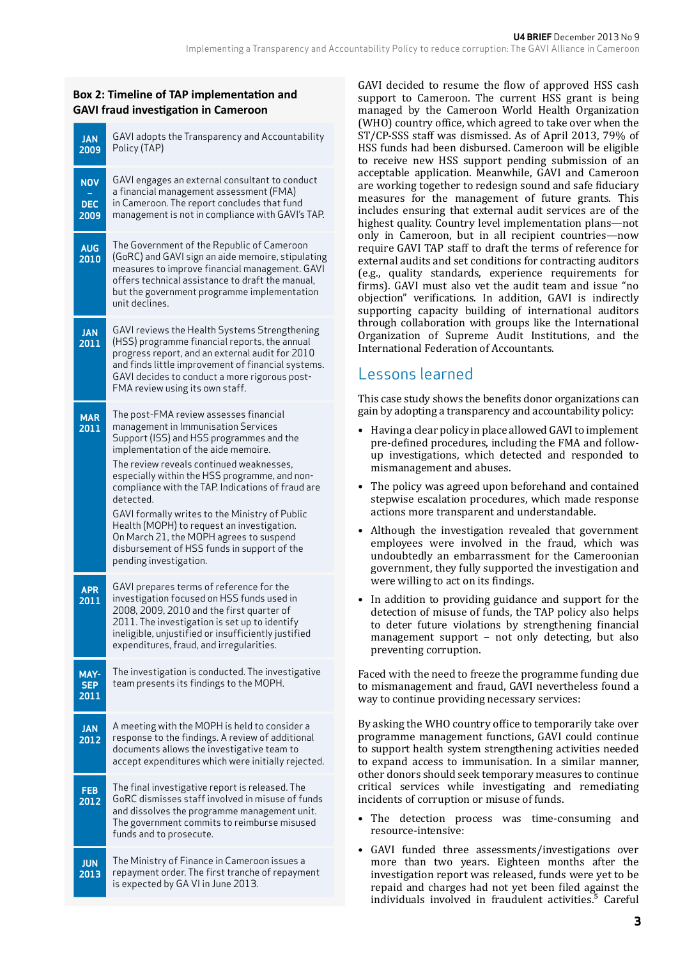#### **Box 2: Timeline of TAP implementation and GAVI fraud investigation in Cameroon**

| <b>JAN</b><br>2009               | GAVI adopts the Transparency and Accountability<br>Policy (TAP)                                                                                                                                                                                                                                                                                                                                                                                                                                                                                     |
|----------------------------------|-----------------------------------------------------------------------------------------------------------------------------------------------------------------------------------------------------------------------------------------------------------------------------------------------------------------------------------------------------------------------------------------------------------------------------------------------------------------------------------------------------------------------------------------------------|
| <b>NOV</b><br><b>DEC</b><br>2009 | GAVI engages an external consultant to conduct<br>a financial management assessment (FMA)<br>in Cameroon. The report concludes that fund<br>management is not in compliance with GAVI's TAP.                                                                                                                                                                                                                                                                                                                                                        |
| <b>AUG</b><br>2010               | The Government of the Republic of Cameroon<br>(GoRC) and GAVI sign an aide memoire, stipulating<br>measures to improve financial management. GAVI<br>offers technical assistance to draft the manual,<br>but the government programme implementation<br>unit declines.                                                                                                                                                                                                                                                                              |
| <b>JAN</b><br>2011               | GAVI reviews the Health Systems Strengthening<br>(HSS) programme financial reports, the annual<br>progress report, and an external audit for 2010<br>and finds little improvement of financial systems.<br>GAVI decides to conduct a more rigorous post-<br>FMA review using its own staff.                                                                                                                                                                                                                                                         |
| <b>MAR</b><br>2011               | The post-FMA review assesses financial<br>management in Immunisation Services<br>Support (ISS) and HSS programmes and the<br>implementation of the aide memoire.<br>The review reveals continued weaknesses,<br>especially within the HSS programme, and non-<br>compliance with the TAP. Indications of fraud are<br>detected.<br>GAVI formally writes to the Ministry of Public<br>Health (MOPH) to request an investigation.<br>On March 21, the MOPH agrees to suspend<br>disbursement of HSS funds in support of the<br>pending investigation. |
| <b>APR</b><br>2011               | GAVI prepares terms of reference for the<br>investigation focused on HSS funds used in<br>2008, 2009, 2010 and the first quarter of<br>2011. The investigation is set up to identify<br>ineligible, unjustified or insufficiently justified<br>expenditures, fraud, and irregularities.                                                                                                                                                                                                                                                             |
| MAY-<br><b>SEP</b><br>2011       | The investigation is conducted. The investigative<br>team presents its findings to the MOPH.                                                                                                                                                                                                                                                                                                                                                                                                                                                        |
| <b>JAN</b><br>2012               | A meeting with the MOPH is held to consider a<br>response to the findings. A review of additional<br>documents allows the investigative team to<br>accept expenditures which were initially rejected.                                                                                                                                                                                                                                                                                                                                               |
| FEB<br>2012                      | The final investigative report is released. The<br>GoRC dismisses staff involved in misuse of funds<br>and dissolves the programme management unit.<br>The government commits to reimburse misused<br>funds and to prosecute.                                                                                                                                                                                                                                                                                                                       |
| <b>JUN</b><br>2013               | The Ministry of Finance in Cameroon issues a<br>repayment order. The first tranche of repayment<br>is expected by GA VI in June 2013.                                                                                                                                                                                                                                                                                                                                                                                                               |

GAVI decided to resume the flow of approved HSS cash support to Cameroon. The current HSS grant is being managed by the Cameroon World Health Organization (WHO) country office, which agreed to take over when the ST/CP-SSS staff was dismissed. As of April 2013, 79% of HSS funds had been disbursed. Cameroon will be eligible to receive new HSS support pending submission of an acceptable application. Meanwhile, GAVI and Cameroon are working together to redesign sound and safe fiduciary measures for the management of future grants. This includes ensuring that external audit services are of the highest quality. Country level implementation plans—not only in Cameroon, but in all recipient countries—now require GAVI TAP staff to draft the terms of reference for external audits and set conditions for contracting auditors (e.g., quality standards, experience requirements for firms). GAVI must also vet the audit team and issue "no objection" verifications. In addition, GAVI is indirectly supporting capacity building of international auditors through collaboration with groups like the International Organization of Supreme Audit Institutions, and the International Federation of Accountants.

## Lessons learned

This case study shows the benefits donor organizations can gain by adopting a transparency and accountability policy:

- Having a clear policy in place allowed GAVI to implement pre-defined procedures, including the FMA and followup investigations, which detected and responded to mismanagement and abuses.
- The policy was agreed upon beforehand and contained stepwise escalation procedures, which made response actions more transparent and understandable.
- Although the investigation revealed that government employees were involved in the fraud, which was undoubtedly an embarrassment for the Cameroonian government, they fully supported the investigation and were willing to act on its findings.
- In addition to providing guidance and support for the detection of misuse of funds, the TAP policy also helps to deter future violations by strengthening financial management support – not only detecting, but also preventing corruption.

Faced with the need to freeze the programme funding due to mismanagement and fraud, GAVI nevertheless found a way to continue providing necessary services:

By asking the WHO country office to temporarily take over programme management functions, GAVI could continue to support health system strengthening activities needed to expand access to immunisation. In a similar manner, other donors should seek temporary measures to continue critical services while investigating and remediating incidents of corruption or misuse of funds.

- The detection process was time-consuming and resource-intensive:
- GAVI funded three assessments/investigations over more than two years. Eighteen months after the investigation report was released, funds were yet to be repaid and charges had not yet been filed against the individuals involved in fraudulent activities.<sup>5</sup> Careful